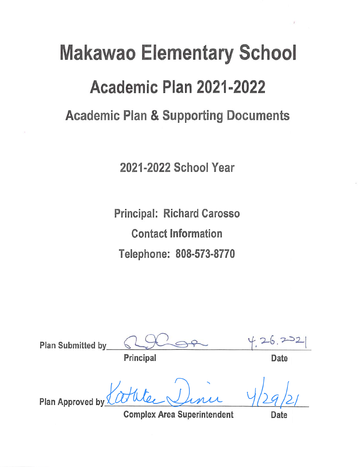# **Makawao Elementary School** Academic Plan 2021-2022 **Academic Plan & Supporting Documents**

2021-2022 School Year

**Principal: Richard Carosso Contact Information** Telephone: 808-573-8770

Plan Submitted by Principal Date Plan Approved by

**Complex Area Superintendent** 

Date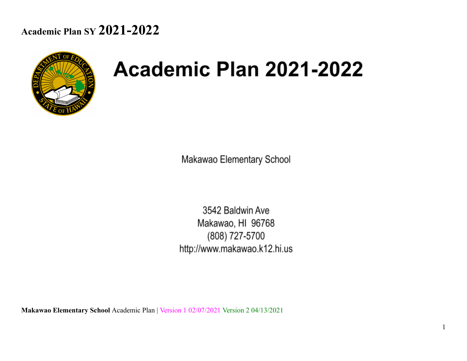

# Academic Plan 2021-2022

Makawao Elementary School

3542 Baldwin Ave Makawao, HI 96768 (808) 727-5700 http://www.makawao.k12.hi.us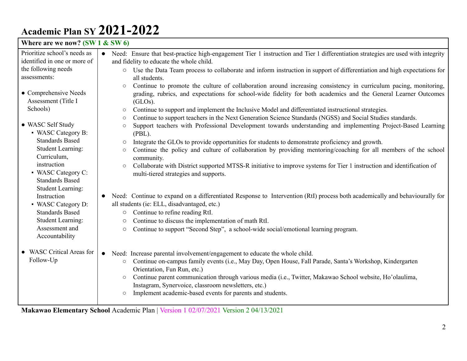| Where are we now? $(SW1 & SW6)$                                                                                                                                                                         |                                                                                                                                                                                                                                                                                                                                                                                                                                                                                                                                                                                                                                                                                                                                                                                                                                                                                                                                                                                                                                                                              |
|---------------------------------------------------------------------------------------------------------------------------------------------------------------------------------------------------------|------------------------------------------------------------------------------------------------------------------------------------------------------------------------------------------------------------------------------------------------------------------------------------------------------------------------------------------------------------------------------------------------------------------------------------------------------------------------------------------------------------------------------------------------------------------------------------------------------------------------------------------------------------------------------------------------------------------------------------------------------------------------------------------------------------------------------------------------------------------------------------------------------------------------------------------------------------------------------------------------------------------------------------------------------------------------------|
| Prioritize school's needs as                                                                                                                                                                            | Need: Ensure that best-practice high-engagement Tier 1 instruction and Tier 1 differentiation strategies are used with integrity                                                                                                                                                                                                                                                                                                                                                                                                                                                                                                                                                                                                                                                                                                                                                                                                                                                                                                                                             |
| identified in one or more of                                                                                                                                                                            | and fidelity to educate the whole child.                                                                                                                                                                                                                                                                                                                                                                                                                                                                                                                                                                                                                                                                                                                                                                                                                                                                                                                                                                                                                                     |
| the following needs                                                                                                                                                                                     | ○ Use the Data Team process to collaborate and inform instruction in support of differentiation and high expectations for                                                                                                                                                                                                                                                                                                                                                                                                                                                                                                                                                                                                                                                                                                                                                                                                                                                                                                                                                    |
| assessments:                                                                                                                                                                                            | all students.                                                                                                                                                                                                                                                                                                                                                                                                                                                                                                                                                                                                                                                                                                                                                                                                                                                                                                                                                                                                                                                                |
| • Comprehensive Needs<br>Assessment (Title I<br>Schools)<br>• WASC Self Study<br>• WASC Category B:<br><b>Standards Based</b><br><b>Student Learning:</b><br>Curriculum,<br>instruction                 | Continue to promote the culture of collaboration around increasing consistency in curriculum pacing, monitoring,<br>$\circ$<br>grading, rubrics, and expectations for school-wide fidelity for both academics and the General Learner Outcomes<br>(GLOs).<br>Continue to support and implement the Inclusive Model and differentiated instructional strategies.<br>$\circ$<br>Continue to support teachers in the Next Generation Science Standards (NGSS) and Social Studies standards.<br>$\circ$<br>Support teachers with Professional Development towards understanding and implementing Project-Based Learning<br>$\circlearrowright$<br>$(PBL)$ .<br>Integrate the GLOs to provide opportunities for students to demonstrate proficiency and growth.<br>$\circ$<br>Continue the policy and culture of collaboration by providing mentoring/coaching for all members of the school<br>$\circlearrowright$<br>community.<br>Collaborate with District supported MTSS-R initiative to improve systems for Tier 1 instruction and identification of<br>$\circlearrowright$ |
| • WASC Category C:<br><b>Standards Based</b><br><b>Student Learning:</b><br>Instruction<br>• WASC Category D:<br><b>Standards Based</b><br><b>Student Learning:</b><br>Assessment and<br>Accountability | multi-tiered strategies and supports.<br>Need: Continue to expand on a differentiated Response to Intervention (RtI) process both academically and behaviourally for<br>$\bullet$<br>all students (ie: ELL, disadvantaged, etc.)<br>Continue to refine reading RtI.<br>$\bigcirc$<br>Continue to discuss the implementation of math RtI.<br>O<br>Continue to support "Second Step", a school-wide social/emotional learning program.<br>$\circ$                                                                                                                                                                                                                                                                                                                                                                                                                                                                                                                                                                                                                              |
| • WASC Critical Areas for<br>Follow-Up                                                                                                                                                                  | Need: Increase parental involvement/engagement to educate the whole child.<br>$\bullet$<br>Continue on-campus family events (i.e., May Day, Open House, Fall Parade, Santa's Workshop, Kindergarten<br>$\circ$<br>Orientation, Fun Run, etc.)<br>Continue parent communication through various media (i.e., Twitter, Makawao School website, Ho'olaulima,<br>$\circ$<br>Instagram, Synervoice, classroom newsletters, etc.)<br>Implement academic-based events for parents and students.<br>$\circ$                                                                                                                                                                                                                                                                                                                                                                                                                                                                                                                                                                          |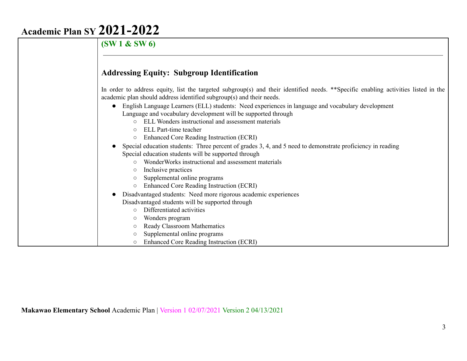**(SW 1 & SW 6) Addressing Equity: Subgroup Identification** In order to address equity, list the targeted subgroup(s) and their identified needs. \*\*Specific enabling activities listed in the academic plan should address identified subgroup(s) and their needs. ● English Language Learners (ELL) students: Need experiences in language and vocabulary development Language and vocabulary development will be supported through ○ ELL Wonders instructional and assessment materials ○ ELL Part-time teacher ○ Enhanced Core Reading Instruction (ECRI) Special education students: Three percent of grades 3, 4, and 5 need to demonstrate proficiency in reading Special education students will be supported through ○ WonderWorks instructional and assessment materials ○ Inclusive practices ○ Supplemental online programs ○ Enhanced Core Reading Instruction (ECRI) ● Disadvantaged students: Need more rigorous academic experiences Disadvantaged students will be supported through ○ Differentiated activities ○ Wonders program ○ Ready Classroom Mathematics ○ Supplemental online programs ○ Enhanced Core Reading Instruction (ECRI)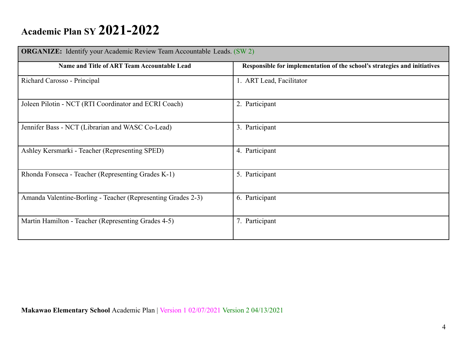| <b>ORGANIZE:</b> Identify your Academic Review Team Accountable Leads. (SW 2) |                                                                           |
|-------------------------------------------------------------------------------|---------------------------------------------------------------------------|
| Name and Title of ART Team Accountable Lead                                   | Responsible for implementation of the school's strategies and initiatives |
| Richard Carosso - Principal                                                   | 1. ART Lead, Facilitator                                                  |
| Joleen Pilotin - NCT (RTI Coordinator and ECRI Coach)                         | 2. Participant                                                            |
| Jennifer Bass - NCT (Librarian and WASC Co-Lead)                              | 3. Participant                                                            |
| Ashley Kersmarki - Teacher (Representing SPED)                                | 4. Participant                                                            |
| Rhonda Fonseca - Teacher (Representing Grades K-1)                            | 5. Participant                                                            |
| Amanda Valentine-Borling - Teacher (Representing Grades 2-3)                  | 6. Participant                                                            |
| Martin Hamilton - Teacher (Representing Grades 4-5)                           | 7. Participant                                                            |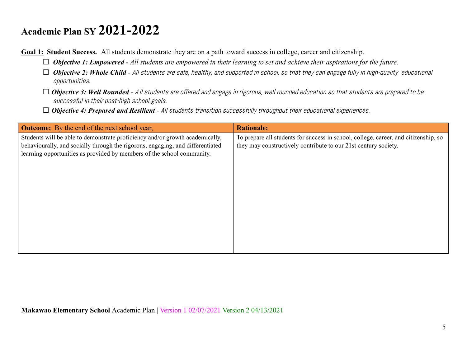**Goal 1: Student Success.** All students demonstrate they are on a path toward success in college, career and citizenship.

- ☐ *Objective 1: Empowered - All students are empowered in their learning to set and achieve their aspirations for the future.*
- □ **Objective 2: Whole Child** All students are safe, healthy, and supported in school, so that they can engage fully in high-quality educational opportunities.
- □ **Objective 3: Well Rounded** All students are offered and engage in rigorous, well rounded education so that students are prepared to be successful in their post-high school goals.
- □ **Objective 4: Prepared and Resilient** All students transition successfully throughout their educational experiences.

| <b>Outcome:</b> By the end of the next school year,                                                                                                                                                                                      | <b>Rationale:</b>                                                                                                                                      |
|------------------------------------------------------------------------------------------------------------------------------------------------------------------------------------------------------------------------------------------|--------------------------------------------------------------------------------------------------------------------------------------------------------|
| Students will be able to demonstrate proficiency and/or growth academically,<br>behaviourally, and socially through the rigorous, engaging, and differentiated<br>learning opportunities as provided by members of the school community. | To prepare all students for success in school, college, career, and citizenship, so<br>they may constructively contribute to our 21st century society. |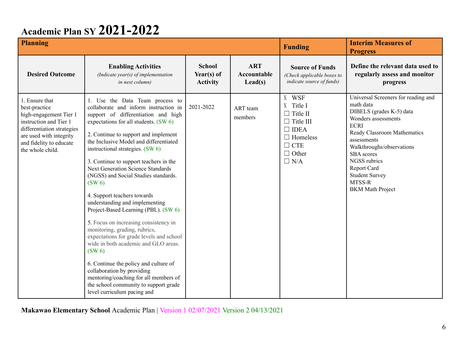| <b>Planning</b>                                                                                                                                                                             |                                                                                                                                                                                                                                                                                                                                                                                                                                                                                                                                                                                                                                                                                                                                                                                                                                                                                                               |                                                |                                                      | <b>Funding</b>                                                                                                                          | <b>Interim Measures of</b><br><b>Progress</b>                                                                                                                                                                                                                                                                          |
|---------------------------------------------------------------------------------------------------------------------------------------------------------------------------------------------|---------------------------------------------------------------------------------------------------------------------------------------------------------------------------------------------------------------------------------------------------------------------------------------------------------------------------------------------------------------------------------------------------------------------------------------------------------------------------------------------------------------------------------------------------------------------------------------------------------------------------------------------------------------------------------------------------------------------------------------------------------------------------------------------------------------------------------------------------------------------------------------------------------------|------------------------------------------------|------------------------------------------------------|-----------------------------------------------------------------------------------------------------------------------------------------|------------------------------------------------------------------------------------------------------------------------------------------------------------------------------------------------------------------------------------------------------------------------------------------------------------------------|
| <b>Desired Outcome</b>                                                                                                                                                                      | <b>Enabling Activities</b><br>(Indicate year(s) of implementation<br>in next column)                                                                                                                                                                                                                                                                                                                                                                                                                                                                                                                                                                                                                                                                                                                                                                                                                          | <b>School</b><br>Year(s) of<br><b>Activity</b> | <b>ART</b><br><b>Accountable</b><br>$\text{Lead}(s)$ | <b>Source of Funds</b><br>(Check applicable boxes to<br><i>indicate source of funds)</i>                                                | Define the relevant data used to<br>regularly assess and monitor<br>progress                                                                                                                                                                                                                                           |
| 1. Ensure that<br>best-practice<br>high-engagement Tier 1<br>instruction and Tier 1<br>differentiation strategies<br>are used with integrity<br>and fidelity to educate<br>the whole child. | 1. Use the Data Team process to<br>collaborate and inform instruction in<br>support of differentiation and high<br>expectations for all students. (SW 6)<br>2. Continue to support and implement<br>the Inclusive Model and differentiated<br>instructional strategies. (SW 6)<br>3. Continue to support teachers in the<br><b>Next Generation Science Standards</b><br>(NGSS) and Social Studies standards.<br>$(SW_0)$<br>4. Support teachers towards<br>understanding and implementing<br>Project-Based Learning (PBL). (SW 6)<br>5. Focus on increasing consistency in<br>monitoring, grading, rubrics,<br>expectations for grade levels and school<br>wide in both academic and GLO areas.<br>(SW <sub>6</sub> )<br>6. Continue the policy and culture of<br>collaboration by providing<br>mentoring/coaching for all members of<br>the school community to support grade<br>level curriculum pacing and | 2021-2022                                      | ART team<br>members                                  | X WSF<br>X Title I<br>$\Box$ Title II<br>$\Box$ Title III<br>$\Box$ IDEA<br>$\Box$ Homeless<br>$\Box$ CTE<br>$\Box$ Other<br>$\Box$ N/A | Universal Screeners for reading and<br>math data<br>DIBELS (grades K-5) data<br>Wonders assessments<br><b>ECRI</b><br>Ready Classroom Mathematics<br>assessments<br>Walkthroughs/observations<br><b>SBA</b> scores<br>NGSS rubrics<br><b>Report Card</b><br><b>Student Survey</b><br>MTSS-R<br><b>BKM</b> Math Project |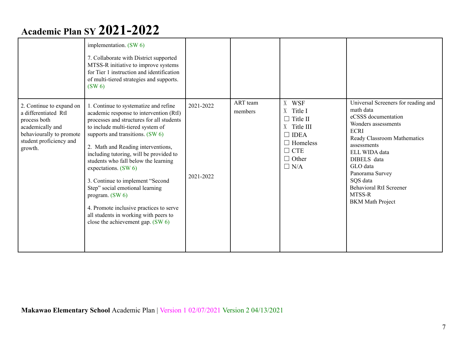|                                                                                                                                                        | implementation. $(SW 6)$<br>7. Collaborate with District supported<br>MTSS-R initiative to improve systems<br>for Tier 1 instruction and identification<br>of multi-tiered strategies and supports.<br>$(SW_6)$                                                                                                                                                                                                                                                                                                                                                              |                        | ART team | X WSF                                                                                                                     | Universal Screeners for reading and                                                                                                                                                                                                                                    |
|--------------------------------------------------------------------------------------------------------------------------------------------------------|------------------------------------------------------------------------------------------------------------------------------------------------------------------------------------------------------------------------------------------------------------------------------------------------------------------------------------------------------------------------------------------------------------------------------------------------------------------------------------------------------------------------------------------------------------------------------|------------------------|----------|---------------------------------------------------------------------------------------------------------------------------|------------------------------------------------------------------------------------------------------------------------------------------------------------------------------------------------------------------------------------------------------------------------|
| 2. Continue to expand on<br>a differentiated RtI<br>process both<br>academically and<br>behaviourally to promote<br>student proficiency and<br>growth. | 1. Continue to systematize and refine<br>academic response to intervention (RtI)<br>processes and structures for all students<br>to include multi-tiered system of<br>supports and transitions. (SW 6)<br>2. Math and Reading interventions,<br>including tutoring, will be provided to<br>students who fall below the learning<br>expectations. (SW 6)<br>3. Continue to implement "Second<br>Step" social emotional learning<br>program. $(SW 6)$<br>4. Promote inclusive practices to serve<br>all students in working with peers to<br>close the achievement gap. (SW 6) | 2021-2022<br>2021-2022 | members  | X Title I<br>$\Box$ Title II<br>X Title III<br>$\Box$ IDEA<br>$\Box$ Homeless<br>$\Box$ CTE<br>$\Box$ Other<br>$\Box$ N/A | math data<br>eCSSS documentation<br>Wonders assessments<br><b>ECRI</b><br>Ready Classroom Mathematics<br>assessments<br>ELL WIDA data<br>DIBELS data<br>GLO data<br>Panorama Survey<br>SQS data<br><b>Behavioral RtI Screener</b><br>MTSS-R<br><b>BKM</b> Math Project |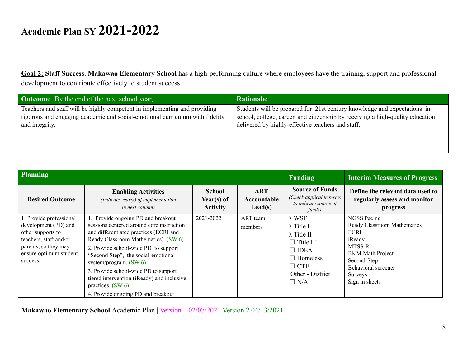**Goal 2: Staff Success**. **Makawao Elementary School** has a high-performing culture where employees have the training, support and professional development to contribute effectively to student success.

| <b>Outcome:</b> By the end of the next school year,                          | <b>Rationale:</b>                                                              |
|------------------------------------------------------------------------------|--------------------------------------------------------------------------------|
| Teachers and staff will be highly competent in implementing and providing    | Students will be prepared for 21st century knowledge and expectations in       |
| rigorous and engaging academic and social-emotional curriculum with fidelity | school, college, career, and citizenship by receiving a high-quality education |
| and integrity.                                                               | delivered by highly-effective teachers and staff.                              |

| Planning                                                                                                                                                     |                                                                                                                                                                                                                                                                                                                                                                                                                                 |                                                |                                               | Funding                                                                                                                                | <b>Interim Measures of Progress</b>                                                                                                                                                |
|--------------------------------------------------------------------------------------------------------------------------------------------------------------|---------------------------------------------------------------------------------------------------------------------------------------------------------------------------------------------------------------------------------------------------------------------------------------------------------------------------------------------------------------------------------------------------------------------------------|------------------------------------------------|-----------------------------------------------|----------------------------------------------------------------------------------------------------------------------------------------|------------------------------------------------------------------------------------------------------------------------------------------------------------------------------------|
| <b>Desired Outcome</b>                                                                                                                                       | <b>Enabling Activities</b><br>(Indicate year(s) of implementation<br><i>in next column)</i>                                                                                                                                                                                                                                                                                                                                     | <b>School</b><br>Year(s) of<br><b>Activity</b> | <b>ART</b><br>Accountable<br>$\text{Lead}(s)$ | <b>Source of Funds</b><br>(Check applicable boxes<br>to indicate source of<br>funds)                                                   | Define the relevant data used to<br>regularly assess and monitor<br>progress                                                                                                       |
| 1. Provide professional<br>development (PD) and<br>other supports to<br>teachers, staff and/or<br>parents, so they may<br>ensure optimum student<br>success. | 1. Provide ongoing PD and breakout<br>sessions centered around core instruction<br>and differentiated practices (ECRI and<br>Ready Classroom Mathematics). (SW 6)<br>2. Provide school-wide PD to support<br>"Second Step", the social-emotional<br>system/program. $(SW 6)$<br>3. Provide school-wide PD to support<br>tiered intervention (iReady) and inclusive<br>practices. $(SW 6)$<br>4. Provide ongoing PD and breakout | 2021-2022                                      | ART team<br>members                           | X WSF<br>X Title I<br>X Title II<br>$\Box$ Title III<br>$\Box$ IDEA<br>$\Box$ Homeless<br>$\Box$ CTE<br>Other - District<br>$\Box$ N/A | <b>NGSS Pacing</b><br>Ready Classroom Mathematics<br>ECRI<br>iReady<br>MTSS-R<br><b>BKM</b> Math Project<br>Second-Step<br>Behavioral screener<br><b>Surveys</b><br>Sign in sheets |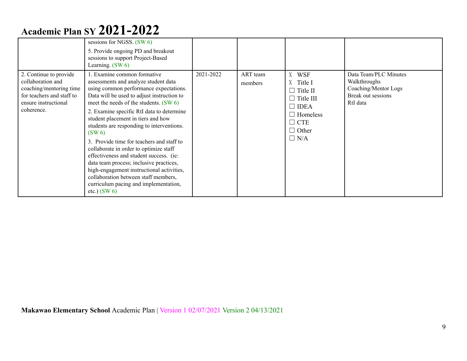|                                                                                                                                           | sessions for NGSS. $(SW 6)$<br>5. Provide ongoing PD and breakout<br>sessions to support Project-Based<br>Learning. $(SW 6)$                                                                                                                                                                                                                                                                                                                                                                                                                                                                                                                                                  |           |                     |                                                                                                                                         |                                                                                                 |
|-------------------------------------------------------------------------------------------------------------------------------------------|-------------------------------------------------------------------------------------------------------------------------------------------------------------------------------------------------------------------------------------------------------------------------------------------------------------------------------------------------------------------------------------------------------------------------------------------------------------------------------------------------------------------------------------------------------------------------------------------------------------------------------------------------------------------------------|-----------|---------------------|-----------------------------------------------------------------------------------------------------------------------------------------|-------------------------------------------------------------------------------------------------|
| 2. Continue to provide<br>collaboration and<br>coaching/mentoring time<br>for teachers and staff to<br>ensure instructional<br>coherence. | . Examine common formative<br>assessments and analyze student data<br>using common performance expectations.<br>Data will be used to adjust instruction to<br>meet the needs of the students. (SW 6)<br>2. Examine specific RtI data to determine<br>student placement in tiers and how<br>students are responding to interventions.<br>$(SW_0)$<br>3. Provide time for teachers and staff to<br>collaborate in order to optimize staff<br>effectiveness and student success. (ie:<br>data team process; inclusive practices,<br>high-engagement instructional activities,<br>collaboration between staff members,<br>curriculum pacing and implementation,<br>etc.) $(SW 6)$ | 2021-2022 | ART team<br>members | X WSF<br>X Title I<br>$\Box$ Title II<br>$\Box$ Title III<br>$\Box$ IDEA<br>$\Box$ Homeless<br>$\Box$ CTE<br>$\Box$ Other<br>$\Box$ N/A | Data Team/PLC Minutes<br>Walkthroughs<br>Coaching/Mentor Logs<br>Break out sessions<br>RtI data |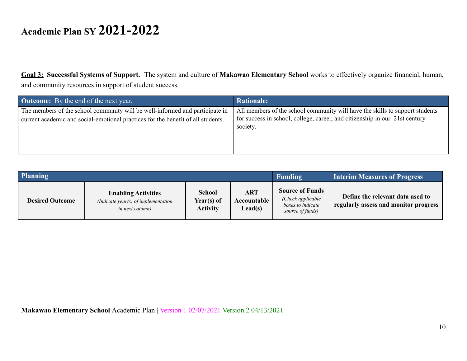**Goal 3: Successful Systems of Support.** The system and culture of **Makawao Elementary School** works to effectively organize financial, human, and community resources in support of student success.

| <b>Outcome:</b> By the end of the next year,                                                                                                                     | <b>Rationale:</b>                                                                                                                                                       |
|------------------------------------------------------------------------------------------------------------------------------------------------------------------|-------------------------------------------------------------------------------------------------------------------------------------------------------------------------|
| The members of the school community will be well-informed and participate in<br>current academic and social-emotional practices for the benefit of all students. | All members of the school community will have the skills to support students<br>for success in school, college, career, and citizenship in our 21st century<br>society. |

| Planning               |                                                                                      |                                                |                                             | Funding                                                                              | <b>Interim Measures of Progress</b>                                       |
|------------------------|--------------------------------------------------------------------------------------|------------------------------------------------|---------------------------------------------|--------------------------------------------------------------------------------------|---------------------------------------------------------------------------|
| <b>Desired Outcome</b> | <b>Enabling Activities</b><br>(Indicate year(s) of implementation<br>in next column) | <b>School</b><br>Year(s) of<br><b>Activity</b> | <b>ART</b><br><b>Accountable</b><br>Lead(s) | <b>Source of Funds</b><br>(Check applicable<br>boxes to indicate<br>source of funds) | Define the relevant data used to<br>regularly assess and monitor progress |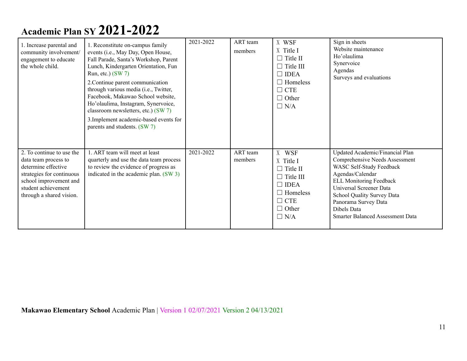| 1. Increase parental and<br>community involvement/<br>engagement to educate<br>the whole child.                                                                                    | 1. Reconstitute on-campus family<br>events (i.e., May Day, Open House,<br>Fall Parade, Santa's Workshop, Parent<br>Lunch, Kindergarten Orientation, Fun<br>Run, etc.) $(SW7)$<br>2. Continue parent communication<br>through various media (i.e., Twitter,<br>Facebook, Makawao School website,<br>Ho'olaulima, Instagram, Synervoice,<br>classroom newsletters, etc.) (SW 7)<br>3. Implement academic-based events for<br>parents and students. (SW 7) | 2021-2022 | ART team<br>members | X WSF<br>X Title I<br>$\Box$ Title II<br>$\Box$ Title III<br>$\Box$ IDEA<br>$\Box$ Homeless<br>$\Box$ CTE<br>$\Box$ Other<br>$\Box$ N/A | Sign in sheets<br>Website maintenance<br>Ho'olaulima<br>Synervoice<br>Agendas<br>Surveys and evaluations                                                                                                                                                                                              |
|------------------------------------------------------------------------------------------------------------------------------------------------------------------------------------|---------------------------------------------------------------------------------------------------------------------------------------------------------------------------------------------------------------------------------------------------------------------------------------------------------------------------------------------------------------------------------------------------------------------------------------------------------|-----------|---------------------|-----------------------------------------------------------------------------------------------------------------------------------------|-------------------------------------------------------------------------------------------------------------------------------------------------------------------------------------------------------------------------------------------------------------------------------------------------------|
| 2. To continue to use the<br>data team process to<br>determine effective<br>strategies for continuous<br>school improvement and<br>student achievement<br>through a shared vision. | 1. ART team will meet at least<br>quarterly and use the data team process<br>to review the evidence of progress as<br>indicated in the academic plan. (SW 3)                                                                                                                                                                                                                                                                                            | 2021-2022 | ART team<br>members | X WSF<br>X Title I<br>$\Box$ Title II<br>$\Box$ Title III<br>$\Box$ IDEA<br>$\Box$ Homeless<br>$\Box$ CTE<br>$\Box$ Other<br>$\Box$ N/A | Updated Academic/Financial Plan<br>Comprehensive Needs Assessment<br>WASC Self-Study Feedback<br>Agendas/Calendar<br><b>ELL Monitoring Feedback</b><br><b>Universal Screener Data</b><br>School Quality Survey Data<br>Panorama Survey Data<br>Dibels Data<br><b>Smarter Balanced Assessment Data</b> |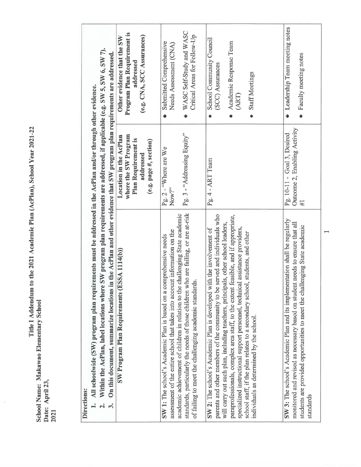| Program Plan Requirement is<br>(e.g. CNA, SCC Assurances)<br>Other evidence that the SW<br>addressed<br>1. All schoolwide (SW) program plan requirements must be addressed in the AcPlan and/or through other evidence.<br>where the SW Program<br>Location in the AcPlan<br>Plan Requirement is<br>(e.g. page #, section)<br>addressed |
|-----------------------------------------------------------------------------------------------------------------------------------------------------------------------------------------------------------------------------------------------------------------------------------------------------------------------------------------|
| Within the AcPlan, label locations where SW program plan requirements are addressed, if applicable (e.g. SW 5, SW 6, SW 7).<br>On this document, summarize locations in the AcPlan and other evidence that SW program plan requirements are addressed.<br><b>ESSA 1114(b)</b><br>SW Program Plan Requirements<br>ക്                     |

Title I Addendum to the 2021 Academic Plan (AcPlan), School Year 2021-22 School Name: Makawao Elementary School<br>Date: April 23,<br>2021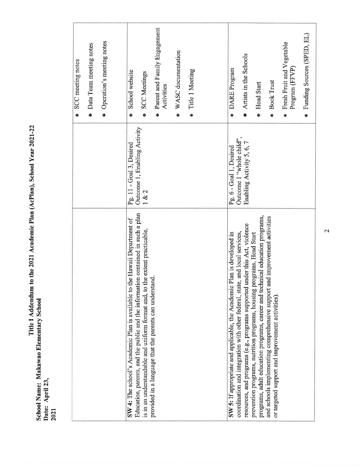| Data Team meeting notes<br>SCC meeting notes | • Operation's meeting notes | School website<br><b>SCC Meetings</b>                                                                                                                           | Parent and Family Engagement<br>Activities                                                                                              | $WASC$ documentation | Title 1 Meeting | <b>DARE</b> Program                                                                                                                                   | Artists in the Schools                                                     | • Head Start                                                                                                                                          | <b>Book Trust</b>                                                                                                                | Fresh Fruit and Vegetable<br>Program (FFVP) | Funding Sources (SPED, EL) |
|----------------------------------------------|-----------------------------|-----------------------------------------------------------------------------------------------------------------------------------------------------------------|-----------------------------------------------------------------------------------------------------------------------------------------|----------------------|-----------------|-------------------------------------------------------------------------------------------------------------------------------------------------------|----------------------------------------------------------------------------|-------------------------------------------------------------------------------------------------------------------------------------------------------|----------------------------------------------------------------------------------------------------------------------------------|---------------------------------------------|----------------------------|
|                                              |                             | Outcome 1, Enabling Activity<br>Pg. 11 - Goal 3, Desired                                                                                                        | 1 & 2                                                                                                                                   |                      |                 | Outcome 1 "whole child".<br>Pg. 6 - Goal 1, Desired                                                                                                   | Enabling Activity 5, 6, 7                                                  |                                                                                                                                                       |                                                                                                                                  |                                             |                            |
|                                              |                             | Education, parents, and the public and the information contained in such a plan<br>the Hawaii Department of<br>SW 4: The school's Academic Plan is available to | the extent practicable,<br>provided in a language that the parents can understand<br>is in an understandable and uniform format and, to |                      |                 | coordination and integration with other federal, state, and local services,<br>SW 5: If appropriate and applicable, the Academic Plan is developed in | resources, and programs (e.g., programs supported under this Act, violence | programs, adult education programs, career and technical education programs,<br>prevention programs, nutrition programs, housing programs, Head Start | and improvement activities<br>and schools implementing comprehensive support<br>or targeted support and improvement activities). |                                             |                            |

Title I Addendum to the 2021 Academic Plan (AcPlan), School Year 2021-22<br>Date: April 23,<br>2021

 $\mathbf{a}$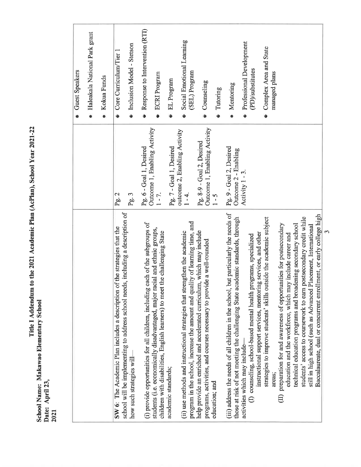|                                                                                                                                                                        |                                                           | · Guest Speakers                                        |
|------------------------------------------------------------------------------------------------------------------------------------------------------------------------|-----------------------------------------------------------|---------------------------------------------------------|
|                                                                                                                                                                        |                                                           | · Haleakala National Park grant                         |
|                                                                                                                                                                        |                                                           | Kokua Funds<br>$\bullet$                                |
| of the strategies that the<br>SW 6: The Academic Plan includes a description                                                                                           | Pg. 2                                                     | Core Curriculum/Tier 1                                  |
| school will be implementing to address school needs, including a description of<br>how such strategies will                                                            | Pg.3                                                      | · Inclusion Model - Stetson                             |
| (i) provide opportunities for all children, including each of the subgroups of                                                                                         | Pg. 6 - Goal 1, Desired                                   | Response to Intervention (RTI)<br>$\bullet$             |
| students (i.e. economically disadvantaged, major racial and ethnic groups,<br>children with disabilities, English learners) to meet the challenging State              | Outcome 1, Enabling Activity<br>$1 - 7$ .                 | · ECRI Program                                          |
| academic standards;                                                                                                                                                    | Pg. 7 - Goal 1, Desired                                   | · EL Program                                            |
| program in the school, increase the amount and quality of learning time, and<br>(ii) use methods and instructional strategies that strengthen the academic             | outcome 2, Enabling Activity<br>$1 - 4.$                  | Social Emotional Learning<br>(SEL) Program<br>$\bullet$ |
| help provide an enriched and accelerated curriculum, which may include<br>programs, activities, and courses necessary to provide a well-rounded                        | Outcome 1, Enabling Activity<br>Pg. 8-9 - Goal 2, Desired | · Counseling                                            |
| education; and                                                                                                                                                         | $1 - 5$                                                   | Tutoring                                                |
| (iii) address the needs of all children in the school, but particularly the needs of<br>those at risk of not meeting the challenging State academic standards, through | Pg. 9 - Goal 2, Desired<br>Outcome 2 - Enabling           | Mentoring                                               |
| activities which may include-                                                                                                                                          | Activity $1 - 3$ .                                        | <b>Professional Development</b>                         |
| instructional support services, mentoring services, and other<br>programs, specialized<br>(I) counseling, school-based mental health                                   |                                                           | (PD)/substitutes                                        |
| strategies to improve students' skills outside the academic subject<br>areas:                                                                                          |                                                           | Complex Area and State<br>managed plans                 |
| preparation for and awareness of opportunities for postsecondary<br>education and the workforce, which may include career and<br>$\oplus$                              |                                                           |                                                         |
| technical education programs and broadening secondary school                                                                                                           |                                                           |                                                         |
| students' access to coursework to earn postsecondary credit while                                                                                                      |                                                           |                                                         |
| Placement, International<br>still in high school (such as Advanced                                                                                                     |                                                           |                                                         |
| Baccalaureate, dual or concurrent enrollment, or early college high                                                                                                    |                                                           |                                                         |

Title I Addendum to the 2021 Academic Plan (AcPlan), School Year 2021-22<br>Date: April 23,<br>2021